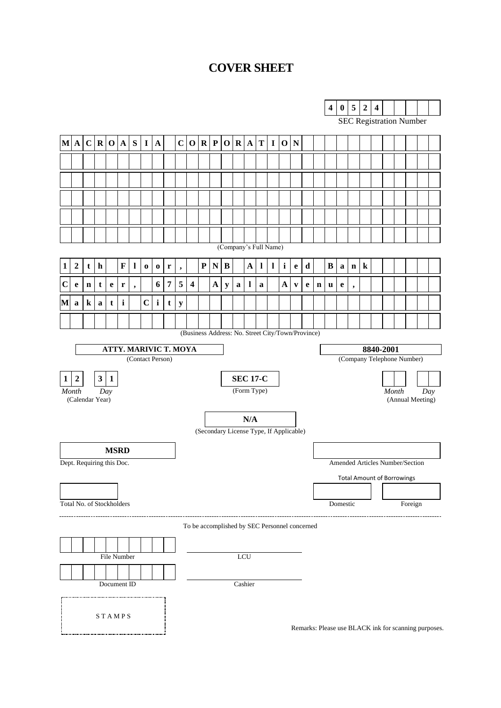# **COVER SHEET**

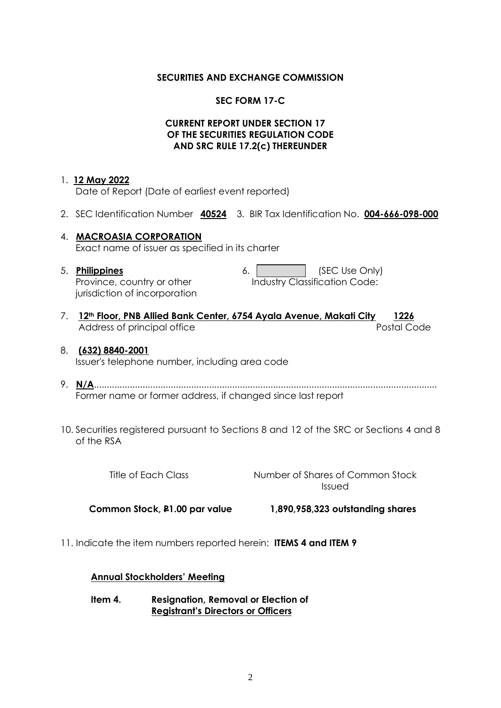### **SECURITIES AND EXCHANGE COMMISSION**

## **SEC FORM 17-C**

### **CURRENT REPORT UNDER SECTION 17 OF THE SECURITIES REGULATION CODE AND SRC RULE 17.2(c) THEREUNDER**

### 1. **12 May 2022**

Date of Report (Date of earliest event reported)

- 2. SEC Identification Number **40524** 3. BIR Tax Identification No. **004-666-098-000**
- 4. **MACROASIA CORPORATION** Exact name of issuer as specified in its charter
- 5. **Philippines** Province, country or other jurisdiction of incorporation

| 6. | (SEC Use Only)                |
|----|-------------------------------|
|    | Industry Classification Code: |

7. **12th Floor, PNB Allied Bank Center, 6754 Ayala Avenue, Makati City 1226** Address of principal office **Postal Code** Postal Code

#### 8. **(632) 8840-2001** Issuer's telephone number, including area code

- 9. **N/A**...................................................................................................................................... Former name or former address, if changed since last report
- 10. Securities registered pursuant to Sections 8 and 12 of the SRC or Sections 4 and 8 of the RSA

Title of Each Class Number of Shares of Common Stock Issued

 **Common Stock, P1.00 par value 1,890,958,323 outstanding shares**

11. Indicate the item numbers reported herein: **ITEMS 4 and ITEM 9**

### **Annual Stockholders' Meeting**

**Item 4. Resignation, Removal or Election of Registrant's Directors or Officers**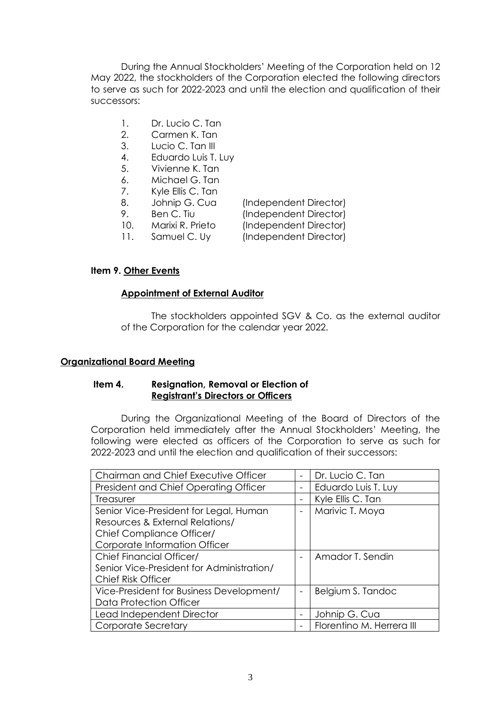During the Annual Stockholders' Meeting of the Corporation held on 12 May 2022, the stockholders of the Corporation elected the following directors to serve as such for 2022-2023 and until the election and qualification of their successors:

- 1. Dr. Lucio C. Tan
- 2. Carmen K. Tan
- 3. Lucio C. Tan III
- 4. Eduardo Luis T. Luy
- 5. Vivienne K. Tan
- 6. Michael G. Tan
- 7. Kyle Ellis C. Tan
- 8. Johnip G. Cua (Independent Director)
- 
- 9. Ben C. Tiu (Independent Director)
- 10. Marixi R. Prieto (Independent Director)
- 
- 11. Samuel C. Uy (Independent Director)

## **Item 9. Other Events**

### **Appointment of External Auditor**

The stockholders appointed SGV & Co. as the external auditor of the Corporation for the calendar year 2022.

## **Organizational Board Meeting**

### **Item 4. Resignation, Removal or Election of Registrant's Directors or Officers**

During the Organizational Meeting of the Board of Directors of the Corporation held immediately after the Annual Stockholders' Meeting, the following were elected as officers of the Corporation to serve as such for 2022-2023 and until the election and qualification of their successors:

| Chairman and Chief Executive Officer      |   | Dr. Lucio C. Tan          |
|-------------------------------------------|---|---------------------------|
| President and Chief Operating Officer     |   | Eduardo Luis T. Luy       |
| Treasurer                                 | - | Kyle Ellis C. Tan         |
| Senior Vice-President for Legal, Human    |   | Marivic T. Moya           |
| Resources & External Relations/           |   |                           |
| <b>Chief Compliance Officer/</b>          |   |                           |
| Corporate Information Officer             |   |                           |
| <b>Chief Financial Officer/</b>           |   | Amador T. Sendin          |
| Senior Vice-President for Administration/ |   |                           |
| <b>Chief Risk Officer</b>                 |   |                           |
| Vice-President for Business Development/  | - | Belgium S. Tandoc         |
| Data Protection Officer                   |   |                           |
| Lead Independent Director                 |   | Johnip G. Cua             |
| Corporate Secretary                       |   | Florentino M. Herrera III |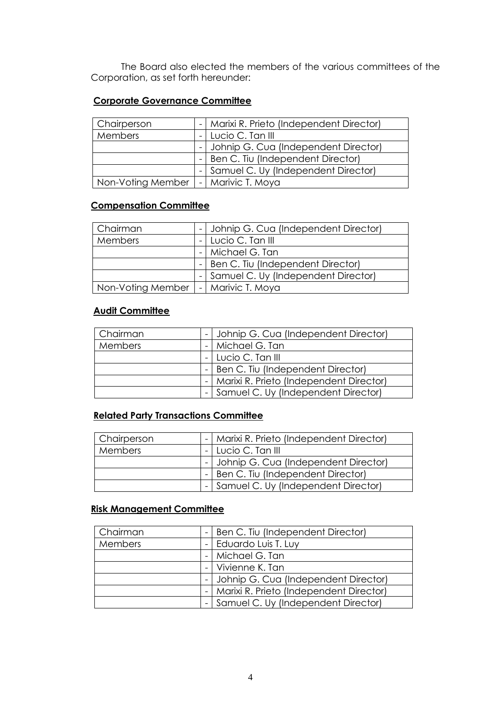The Board also elected the members of the various committees of the Corporation, as set forth hereunder:

# **Corporate Governance Committee**

| Chairperson       |  | -   Marixi R. Prieto (Independent Director) |
|-------------------|--|---------------------------------------------|
| Members           |  | Lucio C. Tan III                            |
|                   |  | - Johnip G. Cua (Independent Director)      |
|                   |  | Ben C. Tiu (Independent Director)           |
|                   |  | - Samuel C. Uy (Independent Director)       |
| Non-Voting Member |  | -   Marivic T. Moya                         |

# **Compensation Committee**

| Chairman          | - Johnip G. Cua (Independent Director) |
|-------------------|----------------------------------------|
| <b>Members</b>    | Lucio C. Tan III                       |
|                   | -   Michael G. Tan                     |
|                   | -   Ben C. Tiu (Independent Director)  |
|                   | - Samuel C. Uy (Independent Director)  |
| Non-Voting Member | Marivic T. Moya                        |

# **Audit Committee**

| Chairman |  | - Johnip G. Cua (Independent Director)      |
|----------|--|---------------------------------------------|
| Members  |  | -   Michael G. Tan                          |
|          |  | - Lucio C. Tan III                          |
|          |  | -   Ben C. Tiu (Independent Director)       |
|          |  | -   Marixi R. Prieto (Independent Director) |
|          |  | - Samuel C. Uy (Independent Director)       |

# **Related Party Transactions Committee**

| Chairperson |  | -   Marixi R. Prieto (Independent Director) |
|-------------|--|---------------------------------------------|
| Members     |  | - Lucio C. Tan III                          |
|             |  | - Johnip G. Cua (Independent Director)      |
|             |  | -   Ben C. Tiu (Independent Director)       |
|             |  | - Samuel C. Uy (Independent Director)       |

## **Risk Management Committee**

| Chairman | $\overline{\phantom{a}}$ | <b>Ben C. Tiu (Independent Director)</b> |
|----------|--------------------------|------------------------------------------|
| Members  |                          | -   Eduardo Luis T. Luy                  |
|          |                          | Michael G. Tan                           |
|          |                          | -   Vivienne K. Tan                      |
|          |                          | - Johnip G. Cua (Independent Director)   |
|          |                          | Marixi R. Prieto (Independent Director)  |
|          |                          | Samuel C. Uy (Independent Director)      |